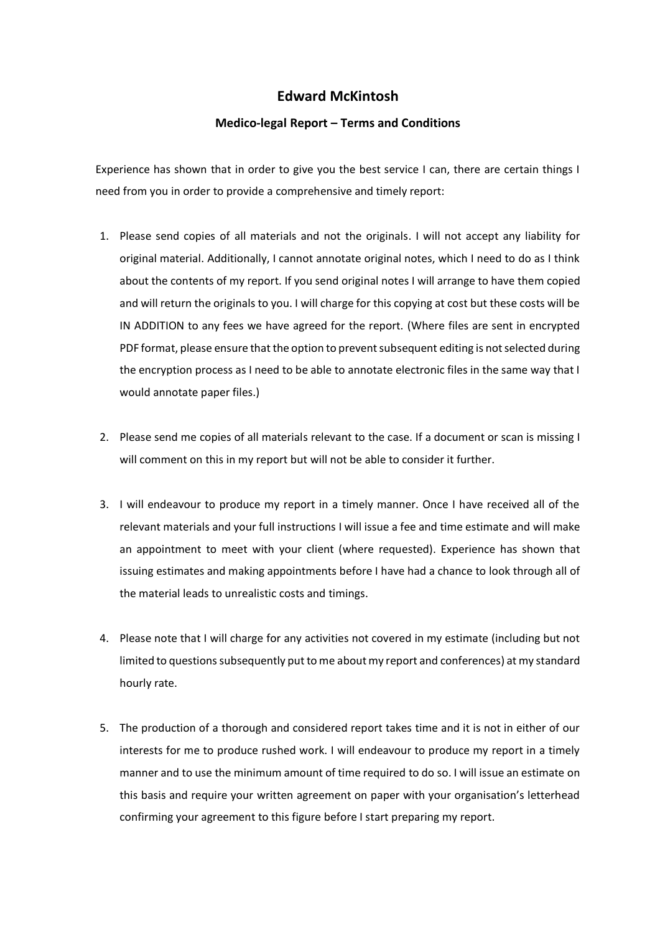## **Edward McKintosh**

## **Medico-legal Report – Terms and Conditions**

Experience has shown that in order to give you the best service I can, there are certain things I need from you in order to provide a comprehensive and timely report:

- 1. Please send copies of all materials and not the originals. I will not accept any liability for original material. Additionally, I cannot annotate original notes, which I need to do as I think about the contents of my report. If you send original notes I will arrange to have them copied and will return the originals to you. I will charge for this copying at cost but these costs will be IN ADDITION to any fees we have agreed for the report. (Where files are sent in encrypted PDF format, please ensure that the option to prevent subsequent editing is not selected during the encryption process as I need to be able to annotate electronic files in the same way that I would annotate paper files.)
- 2. Please send me copies of all materials relevant to the case. If a document or scan is missing I will comment on this in my report but will not be able to consider it further.
- 3. I will endeavour to produce my report in a timely manner. Once I have received all of the relevant materials and your full instructions I will issue a fee and time estimate and will make an appointment to meet with your client (where requested). Experience has shown that issuing estimates and making appointments before I have had a chance to look through all of the material leads to unrealistic costs and timings.
- 4. Please note that I will charge for any activities not covered in my estimate (including but not limited to questions subsequently put to me about my report and conferences) at my standard hourly rate.
- 5. The production of a thorough and considered report takes time and it is not in either of our interests for me to produce rushed work. I will endeavour to produce my report in a timely manner and to use the minimum amount of time required to do so. I will issue an estimate on this basis and require your written agreement on paper with your organisation's letterhead confirming your agreement to this figure before I start preparing my report.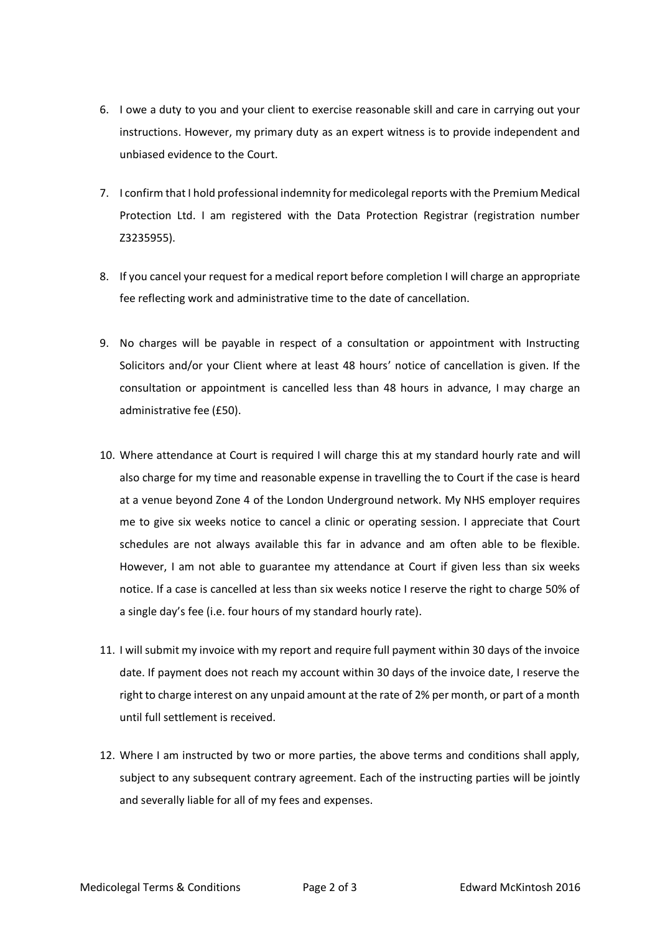- 6. I owe a duty to you and your client to exercise reasonable skill and care in carrying out your instructions. However, my primary duty as an expert witness is to provide independent and unbiased evidence to the Court.
- 7. I confirm that I hold professional indemnity for medicolegal reports with the Premium Medical Protection Ltd. I am registered with the Data Protection Registrar (registration number Z3235955).
- 8. If you cancel your request for a medical report before completion I will charge an appropriate fee reflecting work and administrative time to the date of cancellation.
- 9. No charges will be payable in respect of a consultation or appointment with Instructing Solicitors and/or your Client where at least 48 hours' notice of cancellation is given. If the consultation or appointment is cancelled less than 48 hours in advance, I may charge an administrative fee (£50).
- 10. Where attendance at Court is required I will charge this at my standard hourly rate and will also charge for my time and reasonable expense in travelling the to Court if the case is heard at a venue beyond Zone 4 of the London Underground network. My NHS employer requires me to give six weeks notice to cancel a clinic or operating session. I appreciate that Court schedules are not always available this far in advance and am often able to be flexible. However, I am not able to guarantee my attendance at Court if given less than six weeks notice. If a case is cancelled at less than six weeks notice I reserve the right to charge 50% of a single day's fee (i.e. four hours of my standard hourly rate).
- 11. I will submit my invoice with my report and require full payment within 30 days of the invoice date. If payment does not reach my account within 30 days of the invoice date, I reserve the right to charge interest on any unpaid amount at the rate of 2% per month, or part of a month until full settlement is received.
- 12. Where I am instructed by two or more parties, the above terms and conditions shall apply, subject to any subsequent contrary agreement. Each of the instructing parties will be jointly and severally liable for all of my fees and expenses.